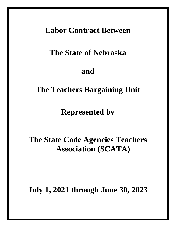## **Labor Contract Between**

# **The State of Nebraska**

## **and**

# **The Teachers Bargaining Unit**

## **Represented by**

# **The State Code Agencies Teachers Association (SCATA)**

# **July 1, 2021 through June 30, 2023**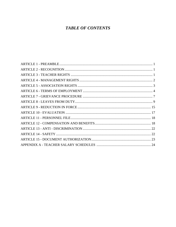## **TABLE OF CONTENTS**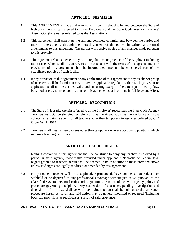## **ARTICLE 1 - PREAMBLE**

- 1.1 This AGREEMENT is made and entered at Lincoln, Nebraska, by and between the State of Nebraska (hereinafter referred to as the Employer) and the State Code Agency Teachers' Association (hereinafter referred to as the Association).
- 1.2 This agreement shall constitute the full and complete commitments between the parties and may be altered only through the mutual consent of the parties in written and signed amendments to this agreement. The parties will receive copies of any changes made pursuant to this provision.
- 1.3 This agreement shall supersede any rules, regulations, or practices of the Employer including merit raises which shall be contrary to or inconsistent with the terms of this agreement. The provisions of this agreement shall be incorporated into and be considered part of the established policies of each facility.
- 1.4 If any provision of this agreement or any application of this agreement to any teacher or group of teachers shall be found contrary to law or applicable regulation, then such provision or application shall not be deemed valid and subsisting except to the extent permitted by law, but all other provisions or applications of this agreement shall continue in full force and effect.

## **ARTICLE 2 - RECOGNITION**

- 2.1 The State of Nebraska (herein referred to as the Employer) recognizes the State Code Agency Teachers Association (hereinafter referred to as the Association) as the exclusive and sole collective bargaining agent for all teachers other than temporary in agencies defined by CIR Order 691 in 1987.
- 2.2 Teachers shall mean all employees other than temporary who are occupying positions which require a teaching certificate.

## **ARTICLE 3 - TEACHER RIGHTS**

- 3.1 Nothing contained in this agreement shall be construed to deny any teacher, employed by a particular state agency, those rights provided under applicable Nebraska or Federal law. Rights granted to teachers herein shall be deemed to be in addition to those provided above unless said rights are legally modified or amended by this agreement.
- 3.2 No permanent teacher will be disciplined, reprimanded, have compensation reduced or withheld or be deprived of any professional advantage without just cause pursuant to the Classified System Personnel Rules and Regulations, or in accordance with agency policy and procedure governing discipline. Any suspension of a teacher, pending investigation and disposition of the case, shall be with pay. Such action shall be subject to the grievance procedure herein set forth, and said action may be upheld, modified or reversed (including back pay provisions as required) as a result of said grievance.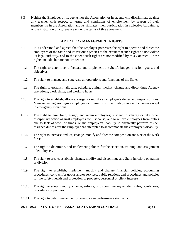3.3 Neither the Employer or its agents nor the Association or its agents will discriminate against any teacher with respect to terms and conditions of employment by reason of their membership in the Association and its affiliates, their participation in collective bargaining, or the institution of a grievance under the terms of this agreement.

## **ARTICLE 4 - MANAGEMENT RIGHTS**

- 4.1 It is understood and agreed that the Employer possesses the right to operate and direct the employees of the State and its various agencies to the extent that such rights do not violate its legal authority, and to the extent such rights are not modified by this Contract. These rights include, but are not limited to:
- 4.1.1 The right to determine, effectuate and implement the State's budget, mission, goals, and objectives.
- 4.1.2 The right to manage and supervise all operations and functions of the State.
- 4.1.3 The right to establish, allocate, schedule, assign, modify, change and discontinue Agency operations, work shifts, and working hours.
- 4.1.4 The right to establish, allocate, assign, or modify an employee's duties and responsibilities. Management agrees to give employees a minimum of five (5) days notice of changes except in emergency situations.
- 4.1.5 The right to hire, train, assign, and retain employees; suspend, discharge or take other disciplinary action against employees for just cause; and to relieve employees from duties due to lack of work or funds, or the employee's inability to physically perform his/her assigned duties after the Employer has attempted to accommodate the employee's disability.
- 4.1.6 The right to increase, reduce, change, modify and alter the composition and size of the work force.
- 4.1.7 The right to determine, and implement policies for the selection, training, and assignment of employees.
- 4.1.8 The right to create, establish, change, modify and discontinue any State function, operation or division.
- 4.1.9 The right to establish, implement, modify and change financial policies, accounting procedures, contract for goods and/or services, public relations and procedures and policies for the safety, health and protection of property, personnel or client interests.
- 4.1.10 The right to adopt, modify, change, enforce, or discontinue any existing rules, regulations, procedures or policies.
- 4.1.11 The right to determine and enforce employee performance standards.

#### **2021 - 2023 STATE OF NEBRASKA - SCATA LABOR CONTRACT Page 2**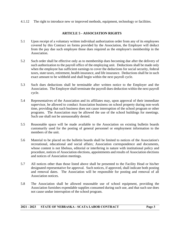4.1.12 The right to introduce new or improved methods, equipment, technology or facilities.

## **ARTICLE 5 - ASSOCIATION RIGHTS**

- 5.1 Upon receipt of a voluntary written individual authorization order from any of its employees covered by this Contract on forms provided by the Association, the Employer will deduct from the pay due such employee those dues required as the employee's membership in the Association.
- 5.2 Such order shall be effective only as to membership dues becoming due after the delivery of such authorization to the payroll office of the employing unit. Deductions shall be made only when the employee has sufficient earnings to cover the deductions for social security, federal taxes, state taxes, retirement, health insurance, and life insurance. Deductions shall be in such exact amount to be withheld and shall begin within the next payroll cycle.
- 5.3 Such dues deductions shall be terminable after written notice to the Employer and the Association. The Employer shall terminate the payroll dues deduction within the next payroll cycle.
- 5.4 Representatives of the Association and its affiliates may, upon approval of their immediate supervisor, be allowed to conduct Association business on school property during non-work time, providing that such business does not cause interruption of the school program or other programs. The Association may be allowed the use of the school buildings for meetings. Such use shall not be unreasonably denied.
- 5.5 Reasonable space will be made available to the Association on existing bulletin boards customarily used for the posting of general personnel or employment information to the members of the unit.
- 5.6 Material to be placed on the bulletin boards shall be limited to notices of the Association's recreational, educational and social affairs; Association correspondence and documents, whose content is not libelous, editorial or interfering in nature with institutional policy and procedure, notices of Association elections, appointments and results of Association elections and notices of Association meetings.
- 5.7 All notices other than those listed above shall be presented to the Facility Head or his/her designated representative for approval. Such notices, if approved, shall indicate both posting and removal dates. The Association will be responsible for posting and removal of all Association notices.
- 5.8 The Association shall be allowed reasonable use of school equipment, providing the Association furnishes expendable supplies consumed during such use, and that such use does not cause undue interruption of the school program.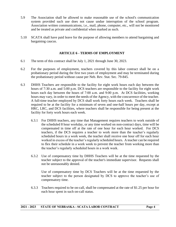- 5.9 The Association shall be allowed to make reasonable use of the school's communication system provided such use does not cause undue interruption of the school program. Association written communications, i.e., mail, phone, computer, etc., will not be monitored and be treated as private and confidential when marked as such.
- 5.10 SCATA shall have paid leave for the purpose of allowing members to attend bargaining and bargaining caucus.

## **ARTICLE 6 - TERMS OF EMPLOYMENT**

- 6.1 The term of this contract shall be July 1, 2021 through June 30, 2023.
- 6.2 For the purposes of employment, teachers covered by this labor contract shall be on a probationary period during the first two years of employment and may be terminated during the probationary period without cause per Neb. Rev. Stat. Sec. 79-845.
- 6.3 DHHS Teachers are responsible to the facility for eight work hours each day between the hours of 7:30 a.m. and 5:00 p.m. DCS teachers are responsible to the facility for eight work hours each day between the hours of 7:00 a.m. and 9:00 p.m. At DCS facilities, working hours may vary, in order to meet the needs of the Agency, with the concurrence of the teacher. A full-time teacher employed by DCS shall work forty hours each week. Teachers shall be required to be at the facility for a minimum of seven and one-half hours per day, except at HRC, LRC, and DCS facilities, where teachers shall be responsible for being present at the facility for forty work hours each week.
	- 6.3.1 For DHHS teachers, any time that Management requires teachers to work outside of the scheduled 8 hour workday, or any time worked on non-contract days, time will be compensated in time off at the rate of one hour for each hour worked. For DCS teachers, if the DCS requires a teacher to work more than the teacher's regularly scheduled hours in a work week, the teacher shall receive one hour off for each hour worked in excess of the teacher's regularly scheduled hours. A teacher can be required to flex their schedule in a work week to prevent the teacher from working more than the teacher's regularly scheduled hours in a work week.
	- 6.3.2 Use of compensatory time by DHHS Teachers will be at the time requested by the teacher subject to the approval of the teacher's immediate supervisor. Requests shall not be unreasonably denied.

Use of compensatory time by DCS Teachers will be at the time requested by the teacher subject to the person designated by DCS to approve the teacher's use of compensatory time.

6.3.3 Teachers required to be on-call, shall be compensated at the rate of \$1.25 per hour for each hour spent in such on-call status.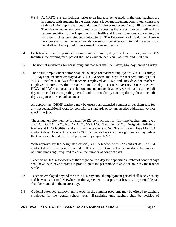- 6.3.4 At YRTC system facilities, prior to an increase being made in the time teachers are in contact with students in the classroom, a labor-management committee, consisting of three Union representatives and three Employer representatives, will be convened. The labor-management committee, after discussing the issues involved, will make a recommendation to the Department of Health and Human Services, concerning the increase in classroom student contact time. The Department of Health and Human Services shall give the recommendation serious consideration, in making a decision, but shall not be required to implement the recommendation.
- 6.4 Each teacher shall be provided a minimum 30 minute, duty free lunch period, and at DCS facilities, the evening meal period shall be available between 3:45 p.m. and 6:30 p.m.
- 6.5 The normal workweek for bargaining unit teachers shall be 5 days, Monday through Friday.
- 6.6 The annual employment period shall be 188 days for teachers employed at YRTC-Kearney; 185 days for teachers employed at YRTC-Geneva; 188 days for teachers employed at YRTC-Lincoln; 188 days for teachers employed at LRC; and 188 days for teachers employed at HRC. Within the above contract days at YRTC-Kearney, YRTC-Geneva, HRC, and LRC shall be at least six non-student contact days per year with at least one-half day at the end of each grading period with no mandatory training during these one-half days, as part of the school calendar.

As appropriate, DHHS teachers may be offered an extended contract at per diem rate for any needed additional work for compliance standards or for any needed additional work or special project.

The annual employment period shall be 222 contract days for full-time teachers employed at CCCL, CCCO, DEC, NCCW, OCC, NSP, LCC, TSCI and WEC. Designated full-time teachers at DCS facilities and all full-time teachers at NCYF shall be employed for 234 contract days. Contract days for DCS full-time teachers shall be eight hours a day unless the teacher's schedule is flexed pursuant to paragraph 6.3.1.

With approval by the designated official, a DCS teacher with 222 contract days or 234 contract days can work a flex schedule that will result in the teacher working the number of hours times eight required to equal the number of contract days.

Teachers at DCS who work less than eight hours a day for a specified number of contract days shall have their leave prorated in proportion to the percentage of an eight-hour day the teacher works.

- 6.7 Teachers employed beyond the basic 185 day annual employment period shall receive salary and leaves as defined elsewhere in this agreement on a pro rata basis. All prorated leaves shall be rounded to the nearest day.
- 6.8 Optional extended employment to teach in the summer programs may be offered to teachers employed for the regular school year. Bargaining unit teachers shall be notified of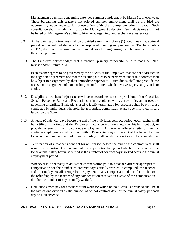Management's decision concerning extended summer employment by March 1st of each year. Those bargaining unit teachers not offered summer employment shall be provided the opportunity, upon request, for consultation with the appropriate administrator. Such consultation shall include justification for Management's decision. Such decisions shall not be based on Management's ability to hire non-bargaining unit teachers at a lesser rate.

- 6.9 All bargaining unit teachers shall be provided a minimum of one (1) continuous instructional period per day without students for the purpose of planning and preparation. Teachers, unless at DCS, shall not be required to attend mandatory training during this planning period, more than once per month.
- 6.10 The Employer acknowledges that a teacher's primary responsibility is to teach per Neb. Revised State Statute 79-101.
- 6.11 Each teacher agrees to be governed by the policies of the Employer, that are not addressed in the negotiated agreement and that the teaching duties to be performed under this contract shall be subject to assignment by their immediate supervisor. Such duties shall not preclude the occasional assignment of nonteaching related duties which involve supervising youth or adults.
- 6.12 Discipline of teachers for just cause will be in accordance with the provisions of the Classified System Personnel Rules and Regulations or in accordance with agency policy and procedure governing discipline. Evaluations used to justify termination for just cause shall be only those conducted by individuals who hold the appropriate administrative and supervisory certificate issued by the State.
- 6.13 At least 90 calendar days before the end of the individual contract period, each teacher shall be notified in writing that the Employer is considering nonrenewal of his/her contract, or provided a letter of intent to continue employment. Any teacher offered a letter of intent to continue employment shall respond within 15 working days of receipt of the letter. Failure to respond within the specified fifteen workdays shall constitute rejection of the renewal offer.
- 6.14 Termination of a teacher's contract for any reason before the end of the contract year shall result in an adjustment of that amount of compensation being paid which bears the same ratio to the annual salary herein specified as the number of contract days worked bears to the annual employment period.

Whenever it is necessary to adjust the compensation paid to a teacher, after the appropriate compensation for the number of contract days actually worked is computed, the teacher and the Employer shall arrange for the payment of any compensation due to the teacher or the refunding by the teacher of any compensation received in excess of the compensation due for the number of days actually worked.

6.15 Deductions from pay for absences from work for which no paid leave is provided shall be at the rate of one divided by the number of school contract days of the annual salary per each day of such absence.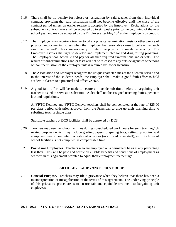- 6.16 There shall be no penalty for release or resignation by said teacher from their individual contract, providing that said resignation shall not become effective until the close of the contract period unless an earlier release is accepted by the Employer. Resignations for the subsequent contract year shall be accepted up to six weeks prior to the beginning of the new school year and may be accepted by the Employer after May 15<sup>th</sup> at the Employer's discretion.
- 6.17 The Employer may require a teacher to take a physical examination, tests or other proofs of physical and/or mental fitness when the Employer has reasonable cause to believe that such examinations and/or tests are necessary to determine physical or mental incapacity. The Employer reserves the right to develop and implement alcohol and drug testing programs. The Employer shall schedule and pay for all such required examinations and/or tests. The results of said examinations and/or tests will not be released to any outside agencies or persons without permission of the employee unless required by law or licensure.
- 6.18 The Association and Employer recognize the unique characteristics of the clientele served and in the interest of the student's needs, the Employer shall make a good faith effort to hold academic classes to a practical and effective size.
- 6.19 A good faith effort will be made to secure an outside substitute before a bargaining unit teacher is asked to serve as a substitute. Aides shall not be assigned teaching duties, per state law and regulations.

At YRTC Kearney and YRTC Geneva, teachers shall be compensated at the rate of \$25.00 per class period with prior approval from the Principal, to give up their planning time to substitute teach a single class.

Substitute teachers at DCS facilities shall be approved by DCS.

- 6.20 Teachers may use the school facilities during nonscheduled work hours for such teaching/job related purposes which may include grading papers, preparing tests, setting up audiovisual equipment, use of computer, recreational activities (as allowed other staff), etc. Such use of school facilities is not computed as compensable time.
- 6.21 **Part-Time Employees.** Teachers who are employed on a permanent basis at any percentage less than 100% will be paid and accrue all eligible benefits and conditions of employment as set forth in this agreement prorated to equal their employment percentage.

## **ARTICLE 7 - GRIEVANCE PROCEDURE**

7.1 **General Purpose.** Teachers may file a grievance when they believe that there has been a misinterpretation or misapplication of the terms of this agreement. The underlying principle of this grievance procedure is to ensure fair and equitable treatment to bargaining unit employees.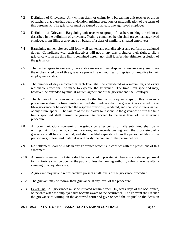- 7.2 Definition of Grievance: Any written claim or claims by a bargaining unit teacher or group of teachers that there has been a violation, misinterpretation, or misapplication of the terms of this agreement. The grievance must be signed by at least one aggrieved employee.
- 7.3 Definition of Grievant: Bargaining unit teacher or group of teachers making the claim as described in the definition of grievance. Nothing contained herein shall prevent an aggrieved employee from filing a grievance on behalf of a class of similarly situated employees.
- 7.4 Bargaining unit employees will follow all written and oral directives and perform all assigned duties. Compliance with such directives will not in any way prejudice their right to file a grievance within the time limits contained herein, nor shall it affect the ultimate resolution of the grievance.
- 7.5 The parties agree to use every reasonable means at their disposal to assure every employee the unobstructed use of this grievance procedure without fear of reprisal or prejudice to their employment status.
- 7.6 The number of days indicated at each level shall be considered as a maximum, and every reasonable effort shall be made to expedite the grievance. The time limit specified may, however, be extended by mutual written agreement of the grievant and the Employer.
- 7.7 The failure of the grievant to proceed to the first or subsequent steps of this grievance procedure within the time limits specified shall indicate that the grievant has elected not to file a grievance or has accepted the response previously rendered, and shall constitute a waiver of any future appeal. The failure of the Employer to respond to the grievance within the time limits specified shall permit the grievant to proceed to the next level of the grievance procedure.
- 7.8 All communications concerning the grievance, after being formally submitted shall be in writing. All documents, communications, and records dealing with the processing of a grievance shall be confidential, and shall be filed separately from the personnel files of the participants, unless said material is ordinarily the content of the personnel file.
- 7.9 No settlement shall be made in any grievance which is in conflict with the provisions of this agreement.
- 7.10 All meetings under this Article shall be conducted in private. All hearings conducted pursuant to this Article shall be open to the public unless the hearing authority rules otherwise after a showing of adequate cause.
- 7.11 A grievant may have a representative present at all levels of the grievance procedure.

- 7.12 The grievant may withdraw their grievance at any level of the procedure.
- 7.13 Level One: All grievances must be initiated within fifteen (15) work days of the occurrence, or the date when the employee first became aware of the occurrence. The grievant shall reduce the grievance to writing on the approved form and give or send the original to the decision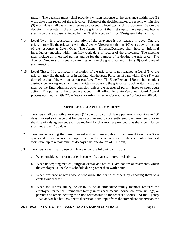maker. The decision maker shall provide a written response to the grievance within five (5) work days after receipt of the grievance. Failure of the decision maker to respond within five (5) work days shall cause the grievant to proceed to level two of this procedure. Before the decision maker returns the answer to the grievance at the first step to the employee, he/she shall have the response reviewed by the Chief Executive Officer/Designee of the facility.

- 7.14 Level Two: If a satisfactory resolution of the grievance is not reached in Level One the grievant may file the grievance with the Agency Director within ten (10) work days of receipt of the response at Level One. The Agency Director/Designee shall hold an informal investigatory meeting within ten (10) work days of receipt of the grievance. The meeting shall include all interested parties and be for the purpose of reviewing the grievance. The Agency Director shall issue a written response to the grievance within ten (10) work days of such meeting.
- 7.15 Level Three: If a satisfactory resolution of the grievance is not reached at Level Two the grievant may file the grievance in writing with the State Personnel Board within five (5) work days of receipt of the written response at Level Two. The State Personnel Board shall conduct a grievance hearing and shall issue a written response to the grievance. Such written response shall be the final administrative decision unless the aggrieved party wishes to seek court action. The parties to the grievance appeal shall follow the State Personnel Board Appeal process outlined in Title 273 – Nebraska Administrative Code, Chapter 15, Section 008.04.

## **ARTICLE 8 - LEAVES FROM DUTY**

- 8.1 Teachers shall be eligible for eleven (11) days of paid sick leave per year, cumulative to 180 days. Earned sick leave that has been accumulated by presently employed teachers prior to the date of this agreement shall be retained by that teacher provided that the accumulation shall not exceed 180 days.
- 8.2 Teachers separating their employment and who are eligible for retirement through a State sponsored retirement system or upon death, will receive one-fourth of the accumulated unused sick leave, up to a maximum of 45 days pay (one-fourth of 180 days).
- 8.3 Teachers are entitled to use sick leave under the following situations:
	- a. When unable to perform duties because of sickness, injury, or disability.

- b. When undergoing medical, surgical, dental, and optical examinations or treatments, which the employee is unable to schedule during other than work hours.
- c. When presence at work would jeopardize the health of others by exposing them to a contagious disease.
- d. When the illness, injury, or disability of an immediate family member requires the employee's presence. Immediate family in this case means spouse, children, siblings, or parents and others bearing the same relationship to the teacher's spouse. At the Agency Head and/or his/her Designee's discretion, with input from the immediate supervisor, the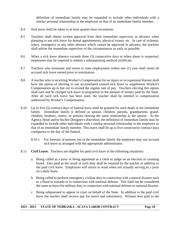definition of immediate family may be expanded to include other individuals with a similar personal relationship to the employee as that of an immediate family member.

- 8.4 Sick leave shall be taken in at least quarter-hour increments.
- 8.5 Teachers shall obtain written approval from their immediate supervisor in advance when planning to use sick leave for dental appointments, physical exams, etc. In case of sickness, injury, emergency or any other absence which cannot be approved in advance, the teachers shall advise the immediate supervisor of the circumstances as early as possible.
- 8.6 When a sick leave absence exceeds three (3) consecutive days or when abuse is suspected, employees may be required to submit a substantiating medical certificate.
- 8.7 Teachers who terminate and return to state employment within one (1) year shall retain all accrued sick leave earned prior to termination.
- 8.8 A teacher who is receiving Worker's Compensation for an injury or occupational disease shall have the option of electing to use accumulated unused sick leave to supplement Worker's Compensation up to but not to exceed the regular rate of pay. Teachers electing this option shall earn and be charged sick leave in proportion to the amount of money paid by the State. After all such sick leave has been used, the teacher shall be entitled to compensation authorized by Worker's Compensation.
- 8.10 Up to five (5) contract days of funeral leave shall be granted for each death in the immediate family. Immediate family is defined as spouse, children, parents, grandparents, grandchildren, brothers, sisters, or persons bearing the same relationship to the spouse. At the Agency Head and/or his/her Designee's discretion, the definition of immediate family may be expanded to include other individuals with a similar personal relationship to the employee as that of an immediate family member. This leave shall be up to five consecutive contract days contiguous to the day of the funeral.
	- 8.10.1 For funerals of persons not in the immediate family the employee may use accrued sick leave as arranged with the appropriate administrator.
- 8.11 **Civil Leave.** Teachers are eligible for paid civil leave in the following situations:

- a. Being called as a juror or being appointed as a clerk or judge on an election or counting board. Fees paid as the result of such duty shall be retained by the teacher in addition to the paid civil leave. Employees will return to work when not actually serving as a juror on a daily basis.
- b. Being called to perform emergency civilian duty in connection with a natural disaster such as a flood or tornado or in connection with national defense. This shall not be considered the same as leave for military duty in connection with national defense or national disaster.
- c. Being subpoenaed to appear in court on behalf of the State. In addition to the paid civil leave the teacher shall receive pay for travel and subsistence. Witness fees paid to the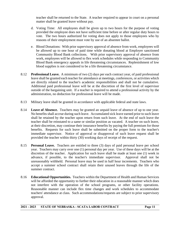teacher shall be returned to the State. A teacher required to appear in court on a personal matter shall be granted leave without pay.

- d. Voting Time: All employees shall be given up to two hours for the purpose of voting provided the employee does not have sufficient time before or after regular duty hours to vote. The two hours authorized for voting does not apply to those employees who by reasons of their employment must vote by use of an absentee ballot.
- e. Blood Donations: With prior supervisory approval of absence from work, employees will be allowed up to one hour of paid time while donating blood at Employer sanctioned Community Blood Bank collections. With prior supervisory approval of absence from work, employees will be allowed to flex work schedules while responding to Community Blood Bank emergency appeals in life threatening circumstances. Replenishment of low blood supplies is not considered to be a life threatening circumstance.
- 8.12 **Professional Leave.** A minimum of two (2) days per each contract year, of paid professional leave shall be granted each teacher for attendance at meetings, conferences, or activities which are directly related to the teacher's academic responsibilities and shall not be cumulative. Additional paid professional leave will be at the discretion of the first level of supervisor outside of the bargaining unit. If a teacher is required to attend a professional activity by the administration, no deduction for professional leave will be made.
- 8.13 Military leave shall be granted in accordance with applicable federal and state laws.
- 8.14 **Leave of Absence.** Teachers may be granted an unpaid leave of absence of up to one year. No benefits shall accrue during such leave. Accumulated sick leave earned prior to such leave shall be retained by the teacher upon return from such leave. At the end of such leave the teacher shall be reinstated to a same or similar position as vacated. A teacher on such leave, at their discretion, may continue their insurance benefits by paying the full premium for those benefits. Requests for such leave shall be submitted on the proper form to the teacher's immediate supervisor. Notice of approval or disapproval of such leave request shall be provided the teacher within thirty (30) working days of receipt of the request.
- 8.15 **Personal Leave.** Teachers are entitled to three (3) days of paid personal leave per school year. Teachers may carry over one (1) personal day per year. Use of these days will be at the discretion of the teacher. Application for such leave shall be made at least one (1) week in advance, if possible, to the teacher's immediate supervisor. Approval shall not be unreasonably withheld. Personal leave may be used in half hour increments. Teachers who accept a summer school contract shall retain their unused leaves through the life of the summer contract.
- 8.16 **Educational Opportunities.** Teachers within the Department of Health and Human Services will be afforded the opportunity to further their education in a reasonable manner which does not interfere with the operation of the school programs, or other facility operations. Reasonable manner can include flex time changes and work schedules to accommodate teachers' attendance at class. Such accommodations/requests are subject to prior supervisory approval.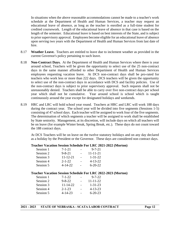In situations when the above reasonable accommodations cannot be made to a teacher's work schedule at the Department of Health and Human Services, a teacher may request an educational leave of absence, as long as the teacher is enrolled as a full-time student for credited coursework. Length of the educational leave of absence in that case is based on the length of the semester. Educational leave is based on best interests of the State, and is subject to prior supervisory approval. Employees become eligible for an educational leave of absence upon serving two years with the Department of Health and Human Services from last date of hire.

- 8.17 **Weather Leave.** Teachers are entitled to leave due to inclement weather as provided in the current Governor's policy pertaining to such leave.
- 8.18 **Non-Contract Days.** At the Department of Health and Human Services where there is year around school, Teachers will be given the opportunity to select use of the 25 non-contract days in the same manner afforded to other Department of Health and Human Services employees requesting vacation leave. At DCS non-contract days shall be pro-rated for teachers who work less or more than 222 days. DCS teachers will be given the opportunity to select use of the non-contract days in accordance with DCS and facility policies. Use of the non-contract days is subject to prior supervisory approval. Such requests shall not be unreasonably denied. Teachers shall be able to carry over five non-contract days per school year which shall not be cumulative. Year around school is school which is taught continuously around the year except for designated holidays and weekends.
- 8.19 HRC and LRC will hold school year round. Teachers at HRC and LRC will work 188 days during the contract year. The school year will be divided into five segments (Sessions 1-5) consisting of 47 school days. Each teacher will be assigned to work four of the five segments. The determination of which segments a teacher will be assigned to work shall be established by State seniority. Management, at its discretion, will include days on which all teachers will be on leave (for example Winter break, Spring Break, etc.). These days do not count toward the 188 contract days.

At DCS Teachers will be on leave on the twelve statutory holidays and on any day declared as a holiday by the President or the Governor. These days are considered non contract days.

### **Teacher Vacation Session Schedule For LRC 2021-2022 (Morton)**

| Session 1 | $7 - 1 - 21$   | $9 - 7 - 21$   |
|-----------|----------------|----------------|
| Session 2 | $9 - 8 - 21$   | $11 - 11 - 21$ |
| Session 3 | $11 - 12 - 21$ | $1 - 31 - 22$  |
| Session 4 | $2 - 1 - 22$   | $4 - 13 - 22$  |
| Session 5 | $4 - 14 - 22$  | $6 - 20 - 22$  |

### **Teacher Vacation Session Schedule For LRC 2022-2023 (Morton)**

| Session 1 | $7 - 1 - 22$ | $9 - 7 - 22$   |
|-----------|--------------|----------------|
| Session 2 | $9 - 8 - 22$ | $11 - 11 - 22$ |
| Session 3 | 11-14-22     | $1 - 31 - 23$  |
| Session 4 | $2 - 1 - 23$ | $4 - 13 - 23$  |
| Session 5 | 4-14-23      | $6 - 20 - 23$  |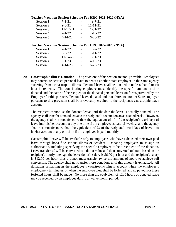|           |                |        | <b>Teacher Vacation Session Schedule For HRC 2021-2022 (NYA)</b> |  |
|-----------|----------------|--------|------------------------------------------------------------------|--|
| Session 1 | $7 - 1 - 21$   |        | $9 - 7 - 21$                                                     |  |
| Session 2 | $9 - 8 - 21$   |        | $11 - 11 - 21$                                                   |  |
| Session 3 | $11 - 12 - 21$ |        | $1 - 31 - 22$                                                    |  |
| Session 4 | $2 - 1 - 22$   | $\sim$ | $4 - 13 - 22$                                                    |  |
| Session 5 | $4 - 14 - 22$  |        | $6 - 20 - 22$                                                    |  |
|           |                |        | <b>Teacher Vacation Session Schedule For HRC 2022-2023 (NYA)</b> |  |
| Session 1 | $7 - 1 - 22$   |        | $9 - 7 - 22$                                                     |  |
| Session 2 | $9 - 8 - 22$   |        | $11 - 11 - 22$                                                   |  |
| Session 3 | $11 - 14 - 22$ |        | $1 - 31 - 23$                                                    |  |
| Session 4 | $2 - 1 - 23$   |        | $4 - 13 - 23$                                                    |  |
| Session 5 | $4 - 14 - 23$  |        | $6 - 20 - 23$                                                    |  |

8.20 **Catastrophic Illness Donation.** The provisions of this section are non-grievable. Employees may contribute accrued personal leave to benefit another State employee in the same agency suffering from a catastrophic illness. Personal leave shall be donated in no less than four (4) hour increments. The contributing employee must identify the specific amount of time donated and the name of the recipient of the donated personal leave on forms provided by the Employer for this purpose. Personal leave donated and transferred to another State employee pursuant to this provision shall be irrevocably credited to the recipient's catastrophic leave account.

The recipient cannot use the donated leave until the date the leave is actually donated. The agency shall transfer donated leave to the recipient's account on an as needed basis. However, the agency shall not transfer more than the equivalent of 10 of the recipient's workdays of leave into his/her account at any one time if the employee is paid bi-weekly; and the agency shall not transfer more than the equivalent of 23 of the recipient's workdays of leave into his/her account at any one time if the employee is paid monthly.

Catastrophic Leave will be available only to employees who have exhausted their own paid leave through bona fide serious illness or accident. Donating employees must sign an authorization, including specifying the specific employee to be a recipient of the donation. Leave transferred will be converted to a dollar value and then converted to hours based on the recipient's hourly rate e.g., the leave donor's salary is \$6.00 per hour and the recipient's salary is \$12.00 per hour; thus a donor must transfer twice the amount of hours to achieve full conversion. The agency shall not transfer more donations until this amount is exhausted. All donations remaining in the employee's catastrophic illness account when the employee's employment terminates, or when the employee dies, shall be forfeited, and no payout for these forfeited hours shall be made. No more than the equivalent of 1200 hours of donated leave may be received by an employee during a twelve month period.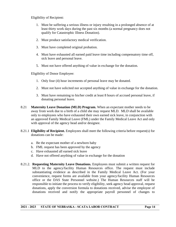Eligibility of Recipient:

- 1. Must be suffering a serious illness or injury resulting in a prolonged absence of at least thirty work days during the past six months (a normal pregnancy does not qualify for Catastrophic Illness Donation).
- 2. Must produce satisfactory medical verification.
- 3. Must have completed original probation.
- 4. Must have exhausted all earned paid leave time including compensatory time off, sick leave and personal leave.
- 5. Must not have offered anything of value in exchange for the donation.

Eligibility of Donor Employee:

- 1. Only four (4) hour increments of personal leave may be donated.
- 2. Must not have solicited nor accepted anything of value in exchange for the donation.
- 3. Must have remaining to his/her credit at least 8 hours of accrued personal leave, if donating personal leave.
- 8.21 **Maternity Leave Donation (MLD) Program.** When an expectant mother needs to be away from work due to a birth of a child she may request MLD. MLD shall be available only to employees who have exhausted their own earned sick leave, in conjunction with an approved Family Medical Leave (FML) under the Family Medical Leave Act and only with approval of the agency head and/or designee.
- 8.21.1 **Eligibility of Recipient.** Employees shall meet the following criteria before request(s) for donations can be made:
	- a. Be the expectant mother of a newborn baby
	- b. FML request has been approved by the agency
	- c. Have exhausted all earned sick leave
	- d. Have not offered anything of value in exchange for the donation
- 8.21.2. **Requesting Maternity Leave Donations.** Employees must submit a written request for MLD to the agency/facility Human Resources office. The request must include substantiating evidence as described in the Family Medical Leave Act. (For your convenience, request forms are available from your agency/facility Human Resources office or the DAS State Personnel website.) The Human Resources staff will be responsible to initiate the process to verify eligibility, seek agency head approval, request donations, apply the conversion formula to donations received, advise the employee of donations received and notify the appropriate payroll personnel of changes to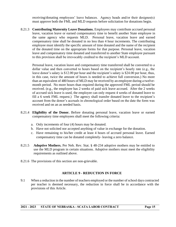receiving/donating employees' leave balances. Agency heads and/or their designee(s) must approve both the FML and MLD requests before solicitation for donations begin.

8.21.3 **Contributing Maternity Leave Donations.** Employees may contribute accrued personal leave, vacation leave or earned compensatory time to benefit another State employee in the same agency who requests MLD. Personal leave, vacation leave and earned compensatory time shall be donated in no less than 4 hour increments. The contributing employee must identify the specific amount of time donated and the name of the recipient of the donated time on the appropriate forms for that purpose. Personal leave, vacation leave and compensatory time donated and transferred to another State employee pursuant to this provision shall be irrevocably credited to the recipient's MLD account.

Personal leave, vacation leave and compensatory time transferred shall be converted to a dollar value and then converted to hours based on the recipient's hourly rate (e.g., the leave donor's salary is \$12.00 per hour and the recipient's salary is \$24.00 per hour, thus, in this case*,* twice the amount of hours is needed to achieve full conversion.) No more than an equivalent of 480 hours of MLD may be received by an employee during a twelvemonth period. No more hours than required during the approved FML period should be received. (e.g., the employee has 2 weeks of paid sick leave accrued. After the 2 weeks of accrued sick leave is used, the employee can only request 4 weeks of donated leave to fill a 6 week FML request.) The agency shall transfer donated leave to the recipient's account from the donor's accruals in chronological order based on the date the form was received and on an as needed basis.

- 8.21.4 **Eligibility of the Donor.** Before donating personal leave, vacation leave or earned compensatory time employees shall meet the following criteria:
	- a. Only increments of four (4) hours may be donated.
	- b. Have not solicited nor accepted anything of value in exchange for the donation.
	- c. Have remaining to his/her credit at least 4 hours of accrued personal leave. Earned compensatory time can be donated completely- leaving a zero balance.
- 8.21.5 **Adoptive Mothers.** Per Neb. Rev. Stat. § 48-234 adoptive mothers may be entitled to use the MLD program in certain situations. Adoptive mothers must meet the eligibility requirements as outlined above.
- 8.21.6 The provisions of this section are non-grievable.

## **ARTICLE 9 - REDUCTION IN FORCE**

9.1 When a reduction in the number of teachers employed or the number of school days contracted per teacher is deemed necessary, the reduction in force shall be in accordance with the provisions of this Article.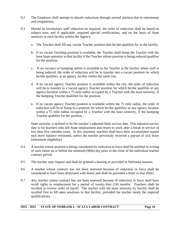- 9.2 The Employer shall attempt to absorb reductions through normal attrition due to retirements and resignations.
- 9.3 Should an involuntary staff reduction be required, the order of reduction shall be based on subject area, and if applicable, required special certifications, and on the basis of State seniority at each facility within the Agency.
	- a. The Teacher shall fill any vacant Teacher position that he/she qualifies for in the facility.
	- b. If no vacant Teaching position is available, the Teacher shall bump the Teacher with the least State seniority in that facility if the Teacher whose position is being reduced qualifies for the position.
	- c. If no vacancy or bumping option is available to the Teacher at the facility where staff is being reduced, the order of reduction will be to transfer into a vacant position for which he/she qualifies, at an agency facility within the same city.
	- d. If no vacant agency Teacher position is available within the city, the order of reduction will be to transfer to a vacant agency Teacher position for which he/she qualifies at any agency location within a 75 mile radius occupied by a Teacher with the least seniority, if the bumping Teacher qualifies for the position.
	- e. If no vacant agency Teacher position is available within the 75 mile radius, the order of reduction will be to bump to a position for which he/she qualifies, at any agency location within a 75 mile radius occupied by a Teacher with the least seniority, if the bumping Teacher qualifies for the position.

State seniority is defined to be the teacher's adjusted State service date. This adjusted service date is for teachers who left State employment and return to work after a break in service of less than five calendar years. In this situation, teachers shall have their accumulated unpaid sick leave balance reinstated, unless the teacher previously received a payout of sick leave (retirement eligibility).

- 9.4 A teacher whose position is being considered for reduction in force shall be notified in writing of such intent on or before the ninetieth (90th) day prior to the close of the individual teacher contract period.
- 9.5 The teacher may request and shall be granted a hearing as provided in Nebraska statutes.
- 9.6 A teacher whose contract has not been renewed because of reduction in force shall be considered to have been dismissed with honor and shall be provided a letter to that effect.
- 9.7 Any teacher whose contract has not been renewed because of reduction in force shall have recall rights to employment for a period of twenty-four (24) months. Teachers shall be recalled in reverse order of layoff. The teacher with the most seniority by facility shall be recalled first to fill open positions in that facility, provided the teacher meets the required qualifications.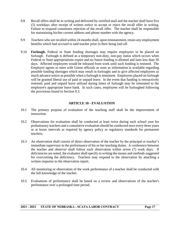- 9.8 Recall offers shall be in writing and delivered by certified mail and the teacher shall have five (5) workdays after receipt of written notice to accept or reject the recall offer in writing. Failure to respond constitutes rejection of the recall offer. The teacher shall be responsible for maintaining his/her current address and phone number with the agency.
- 9.9 Teachers who are recalled within 24 months shall, upon reinstatement, retain any employment benefits which had accrued to said teacher prior to their being laid off.
- 9.10 **Furlough.** Federal or State funding shortages may require employees to be placed on furlough. Furlough is defined as a temporary non-duty, non-pay status which occurs when Federal or State appropriations expire and no future funding is allotted and lasts less than 30 days. Affected employees would be released from work until such funding is restored. The Employer agrees to meet with Union officials as soon as information is available regarding possible funding shortages which may result in furloughs and to give affected employees as much advance notice as possible when a furlough is imminent. Employees placed on furlough will be granted liberal use of paid or unpaid leave. In the event that funding is retroactively restored, paid and unpaid leave utilized during times of furlough may be reinstated to the employee's appropriate leave bank. In such cases, employees will be furloughed following the provisions found in Section 9.3.

## **ARTICLE 10 - EVALUATION**

- 10.1 The primary purpose of evaluation of the teaching staff shall be the improvement of instruction.
- 10.2 Observations for evaluation shall be conducted at least twice during each school year for probationary teachers and a cumulative evaluation should be conducted once every three years or at lesser intervals as required by agency policy or regulatory standards for permanent teachers.
- 10.3 An observation shall consist of direct observation of the teacher by the principal or teacher's immediate supervisor in the performance of his or her teaching duties. A conference between the teacher and observer shall follow each observation within seven (7) work days. If deficiencies are noted, the evaluator shall specify in writing the means and methods suggested for overcoming the deficiency. Teachers may respond to the observation by attaching a written response to the observation report.
- 10.4 All monitoring or observation of the work performance of a teacher shall be conducted with the full knowledge of the teacher.
- 10.5 Evaluations of performance shall be based on a review and observations of the teacher's performance over a prolonged time period.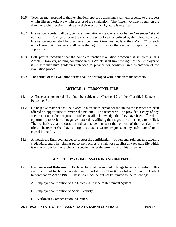- 10.6 Teachers may respond to their evaluation reports by attaching a written response to the report within fifteen workdays within receipt of the evaluation. The fifteen workdays begin on the date the teacher receives notice that their electronic signature is required.
- 10.7 Evaluation reports shall be given to all probationary teachers on or before November 1st and not later than 120 days prior to the end of the school year as defined by the school calendar. Evaluation reports shall be given to all permanent teachers not later than March 31 of each school year. All teachers shall have the right to discuss the evaluation report with their supervisor.
- 10.8 Both parties recognize that the complete teacher evaluation procedure is set forth in this Article. However, nothing contained in this Article shall limit the right of the Employer to issue administrative guidelines intended to provide for consistent implementation of the evaluation process.
- 10.9 The format of the evaluation forms shall be developed with input from the teachers.

## **ARTICLE 11 - PERSONNEL FILE**

- 11.1 A Teacher's personnel file shall be subject to Chapter 12 of the Classified System Personnel Rules.
- 11.2 No negative material shall be placed in a teacher's personnel file unless the teacher has been offered an opportunity to review the material. The teacher will be provided a copy of any such material at their request. Teachers shall acknowledge that they have been offered the opportunity to review all negative material by affixing their signature to the copy to be filed. The teacher's signature does not indicate agreement with the contents of the material to be filed. The teacher shall have the right to attach a written response to any such material to be placed in the file.
- 11.3 Although the Employer agrees to protect the confidentiality of personal references, academic credentials, and other similar personnel records, it shall not establish any separate file which is not available for the teacher's inspection under the provisions of this agreement.

### **ARTICLE 12 - COMPENSATION AND BENEFITS**

- 12.1 **Insurance and Retirement.** Each teacher shall be entitled to fringe benefits provided by this agreement and by federal regulations provided by Cobra (Consolidated Omnibus Budget Reconciliation Act of 1985). These shall include but not be limited to the following:
	- A. Employer contribution to the Nebraska Teachers' Retirement System.

- B. Employer contribution to Social Security.
- C. Workmen's Compensation Insurance.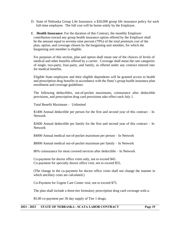- D. State of Nebraska Group Life Insurance; a \$20,000 group life insurance policy for each full-time employee. The full cost will be borne solely by the Employer.
- E. **Health Insurance:** For the duration of this Contract, the monthly Employer contribution toward any group health insurance option offered by the Employer shall be the amount equal to seventy-nine percent (79%) of the total premium cost of the plan, option, and coverage chosen by the bargaining unit member, for which the bargaining unit member is eligible.

For purposes of this section, plan and option shall mean one of the choices of levels of medical and other benefits offered by a carrier. Coverage shall mean the rate categories of single, two-party, four-party, and family, as offered under any contract entered into for medical benefits.

Eligible State employees and their eligible dependents will be granted access to health and prescription drug benefits in accordance with the State's group health insurance plan enrollment and coverage guidelines.

The following deductibles, out-of-pocket maximums, coinsurance after deductible provisions, and prescription drug card provisions take effect each July 1.

Total Benefit Maximum - Unlimited

\$1400 Annual deductible per person for the first and second year of this contract – In Network

\$2600 Annual deductible per family for the first and second year of this contract – In Network

\$4000 Annual medical out-of-pocket maximum per person – In Network

\$8000 Annual medical out-of-pocket maximum per family – In Network

80% coinsurance for most covered services after deductible – In Network

Co-payment for doctor office visits only, not to exceed \$45. Co-payment for specialty doctor office visit, not to exceed \$55.

(The change in the co-payment for doctor office visits shall not change the manner in which ancillary costs are calculated.)

Co-Payment for Urgent Care Center visit, not to exceed \$75.

The plan shall include a three-tier formulary prescription drug card coverage with a:

\$5.00 co-payment per 30 day supply of Tier 1 drugs;

#### **2021 - 2023 STATE OF NEBRASKA - SCATA LABOR CONTRACT Page 19**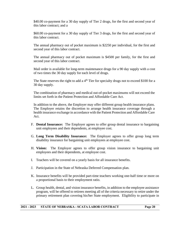\$40.00 co-payment for a 30 day supply of Tier 2 drugs, for the first and second year of this labor contract; and a

\$60.00 co-payment for a 30 day supply of Tier 3 drugs, for the first and second year of this labor contract.

The annual pharmacy out of pocket maximum is \$2250 per individual, for the first and second year of this labor contract.

The annual pharmacy out of pocket maximum is \$4500 per family, for the first and second year of this labor contract.

Mail order is available for long-term maintenance drugs for a 90 day supply with a cost of two times the 30 day supply for each level of drugs.

The State reserves the right to add a  $4<sup>th</sup>$  Tier for specialty drugs not to exceed \$100 for a 30 day supply.

The combination of pharmacy and medical out-of-pocket maximums will not exceed the limits set forth in the Patient Protection and Affordable Care Act.

In addition to the above, the Employer may offer different group health insurance plans. The Employer retains the discretion to arrange health insurance coverage through a health insurance exchange in accordance with the Patient Protection and Affordable Care Act.

- F. **Dental Insurance:** The Employer agrees to offer group dental insurance to bargaining unit employees and their dependents, at employee cost.
- G. **Long Term Disability Insurance:** The Employer agrees to offer group long term disability insurance for bargaining unit employees at employee cost.
- H. **Vision:** The Employer agrees to offer group vision insurance to bargaining unit employees and their dependents, at employee cost.
- I. Teachers will be covered on a yearly basis for all insurance benefits.
- J. Participation in the State of Nebraska Deferred Compensation plan.

- K. Insurance benefits will be provided part-time teachers working one-half time or more on a proportional basis to their employment ratio.
- L. Group health, dental, and vision insurance benefits, in addition to the employee assistance program, will be offered to retirees meeting all of the criteria necessary to retire under the primary retirement plan covering his/her State employment. Eligibility to participate in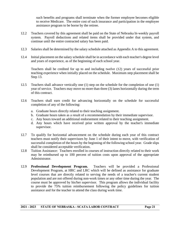such benefits and programs shall terminate when the former employee becomes eligible to receive Medicare. The entire cost of such insurance and participation in the employee assistance program to be borne by the retiree.

- 12.2 Teachers covered by this agreement shall be paid on the State of Nebraska bi-weekly payroll system. Payroll deductions and related items shall be provided under that system, and continue until the entire contracted salary has been paid.
- 12.3 Salaries shall be determined by the salary schedule attached as Appendix A to this agreement.
- 12.4 Initial placement on the salary schedule shall be in accordance with each teacher's degree level and years of experience, as of the beginning of each school year.

Teachers shall be credited for up to and including twelve (12) years of successful prior teaching experience when initially placed on the schedule. Maximum step placement shall be Step 13.

- 12.5 Teachers shall advance vertically one (1) step on the schedule for the completion of one (1) year of service. Teachers may move no more than three (3) lanes horizontally during the term of this contract.
- 12.6 Teachers shall earn credit for advancing horizontally on the schedule for successful completion of any of the following:
	- a. Graduate hours directly related to their teaching assignment.
	- b. Graduate hours taken as a result of a recommendation by their immediate supervisor.
	- c. Any hours toward an additional endorsement related to their teaching assignment.
	- d. Any hours which have received prior written approval by the teacher's immediate supervisor.
- 12.7 To qualify for horizontal advancement on the schedule during each year of this contract teachers must notify their supervisors by June 1 of their intent to move, with verification of successful completion of the hours by the beginning of the following school year. Grade slips shall be considered acceptable verification.
- 12.8 Tuition Assistance: Teachers enrolled in courses of instruction directly related to their work may be reimbursed up to 100 percent of tuition costs upon approval of the appropriate Administrator.
- 12.9 **Professional Development Program.** Teachers will be provided a Professional Development Program, at HRC and LRC which will be defined as assistance for graduate level courses that are directly related to serving the needs of a teacher's current student population and are not offered during non-work times or any other time during the year. The course must be approved by his/her supervisor. This program allows the individual facility to provide the 75% tuition reimbursement following the policy guidelines for tuition assistance and for the teacher to attend the class during work time.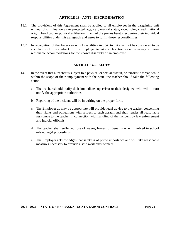## **ARTICLE 13 - ANTI - DISCRIMINATION**

- 13.1 The provisions of this Agreement shall be applied to all employees in the bargaining unit without discrimination as to protected age, sex, marital status, race, color, creed, national origin, handicap, or political affiliation. Each of the parties hereto recognize their individual responsibilities under this paragraph and agree to fulfill those responsibilities.
- 13.2 In recognition of the American with Disabilities Act (ADA), it shall not be considered to be a violation of this contract for the Employer to take such action as is necessary to make reasonable accommodations for the known disability of an employee.

### **ARTICLE 14 - SAFETY**

- 14.1 In the event that a teacher is subject to a physical or sexual assault, or terroristic threat, while within the scope of their employment with the State, the teacher should take the following action:
	- a. The teacher should notify their immediate supervisor or their designee, who will in turn notify the appropriate authorities.
	- b. Reporting of the incident will be in writing on the proper form.
	- c. The Employer as may be appropriate will provide legal advice to the teacher concerning their rights and obligations with respect to such assault and shall render all reasonable assistance to the teacher in connection with handling of the incident by law enforcement and judicial officials.
	- d. The teacher shall suffer no loss of wages, leaves, or benefits when involved in school related legal proceedings.
	- e. The Employer acknowledges that safety is of prime importance and will take reasonable measures necessary to provide a safe work environment.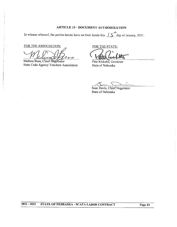### **ARTICLE 15 - DOCUMENT AUTHORIZATION**

In witness whereof, the parties hereto have set their hands this  $\frac{1}{5}$  day of January, 2021.

FOR THE ASSOCIATION:

**FOR THE ASSOCIATION:**<br> *MUSE DE MELISSE PRESSENT* 

State Code Agency Teachers Association

FOR THE STATE:

Pete Ricketts, Governor State of Nebraska

Sean Davis, Chief Negotiator State of Nebraska

**2021 - 2023 STATE OF NEBRASKA - SCATA LABOR CONTRACT Page 23**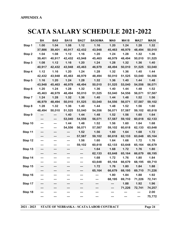## **SCATA SALARY SCHEDULE 2021-2022**

|         | <b>BA</b> | <b>BA9</b> | <b>BA18</b> | <b>BA27</b>                  | <b>BA36/MA</b> | MA9    | <b>MA18</b> | <b>MA27</b> | <b>MA36</b> |
|---------|-----------|------------|-------------|------------------------------|----------------|--------|-------------|-------------|-------------|
| Step 1  | 1.00      | 1.04       | 1.08        | 1.12                         | 1.16           | 1.20   | 1.24        | 1.28        | 1.32        |
|         | 37,886    | 39,401     | 40,917      | 42,432                       | 43,948         | 45,463 | 46,979      | 48,494      | 50,010      |
| Step 2  | 1.04      | 1.08       | 1.12        | 1.16                         | 1.20           | 1.24   | 1.28        | 1.32        | 1.36        |
|         | 39,401    | 40,917     | 42,432      | 43,948                       | 45,463         | 46,979 | 48,494      | 50,010      | 51,525      |
| Step 3  | 1.08      | 1.12       | 1.16        | 1.20                         | 1.24           | 1.28   | 1.32        | 1.36        | 1.40        |
|         | 40,917    | 42,432     | 43,948      | 45,463                       | 46,979         | 48,494 | 50,010      | 51,525      | 53,040      |
| Step 4  | 1.12      | 1.16       | 1.20        | 1.24                         | 1.28           | 1.32   | 1.36        | 1.40        | 1.44        |
|         | 42,432    | 43,948     | 45,463      | 46,979                       | 48,494         | 50,010 | 51,525      | 53,040      | 54,556      |
| Step 5  | 1.16      | 1.20       | 1.24        | 1.28                         | 1.32           | 1.36   | 1.40        | 1.44        | 1.48        |
|         | 43,948    | 45,463     | 46,979      | 48,494                       | 50,010         | 51,525 | 53,040      | 54,556      | 56,071      |
| Step 6  | 1.20      | 1.24       | 1.28        | 1.32                         | 1.36           | 1.40   | 1.44        | 1.48        | 1.52        |
|         | 45,463    | 46,979     | 48,494      | 50,010                       | 51,525         | 53,040 | 54,556      | 56,071      | 57,587      |
| Step 7  | 1.24      | 1.28       | 1.32        | 1.36                         | 1.40           | 1.44   | 1.48        | 1.52        | 1.56        |
|         | 46,979    | 48,494     | 50,010      | 51,525                       | 53,040         | 54,556 | 56,071      | 57,587      | 59,102      |
| Step 8  | 1.28      | 1.32       | 1.36        | 1.40                         | 1.44           | 1.48   | 1.52        | 1.56        | 1.60        |
|         | 48,494    | 50,010     | 51,525      | 53,040                       | 54,556         | 56,071 | 57,587      | 59,102      | 60,618      |
| Step 9  | ---       | ---        | 1.40        | 1.44                         | 1.48           | 1.52   | 1.56        | 1.60        | 1.64        |
|         |           | ---        | 53,040      | 54,556                       | 56,071         | 57,587 | 59,102      | 60,618      | 62,133      |
| Step 10 |           | ---        | 1.44        | 1.48                         | 1.52           | 1.56   | 1.60        | 1.64        | 1.68        |
|         | ---       | ---        | 54,556      | 56,071                       | 57,587         | 59,102 | 60,618      | 62,133      | 63,648      |
| Step 11 | ---       | ---        | ---         | 1.52                         | 1.56           | 1.60   | 1.64        | 1.68        | 1.72        |
|         |           |            | ---         | 57,587                       | 59,102         | 60,618 | 62,133      | 63,648      | 65,164      |
| Step 12 |           | ---        | ---         | 1.56                         | 1.60           | 1.64   | 1.68        | 1.72        | 1.76        |
|         | ---       | ---        | ---         | 59,102                       | 60,618         | 62,133 | 63,648      | 65,164      | 66,679      |
| Step 13 | ---       | ---        | ---         | $\qquad \qquad \textbf{---}$ | 1.64           | 1.68   | 1.72        | 1.76        | 1.80        |
|         |           |            |             |                              | 62,133         | 63,648 | 65,164      | 66,679      | 68,195      |
| Step 14 |           |            | ---         | ---                          | 1.68           | 1.72   | 1.76        | 1.80        | 1.84        |
|         |           |            |             |                              | 63,648         | 65,164 | 66,679      | 68,195      | 69,710      |
| Step 15 | ---       |            |             | ---                          | 1.72           | 1.76   | 1.80        | 1.84        | 1.88        |
|         |           |            |             |                              | 65,164         | 66,679 | 68,195      | 69,710      | 71,226      |
| Step 16 |           |            |             |                              |                | 1.80   | 1.84        | 1.88        | 1.92        |
|         |           |            |             |                              |                | 68,195 | 69,710      | 71,226      | 72,741      |
| Step 17 |           |            |             |                              |                | ---    | 1.88        | 1.92        | 1.96        |
|         |           |            |             |                              |                | ---    | 71,226      | 72,741      | 74,257      |
| Step 18 |           |            |             |                              |                |        |             | ---         | 2.00        |
|         |           |            |             |                              |                |        |             |             | 75,772      |